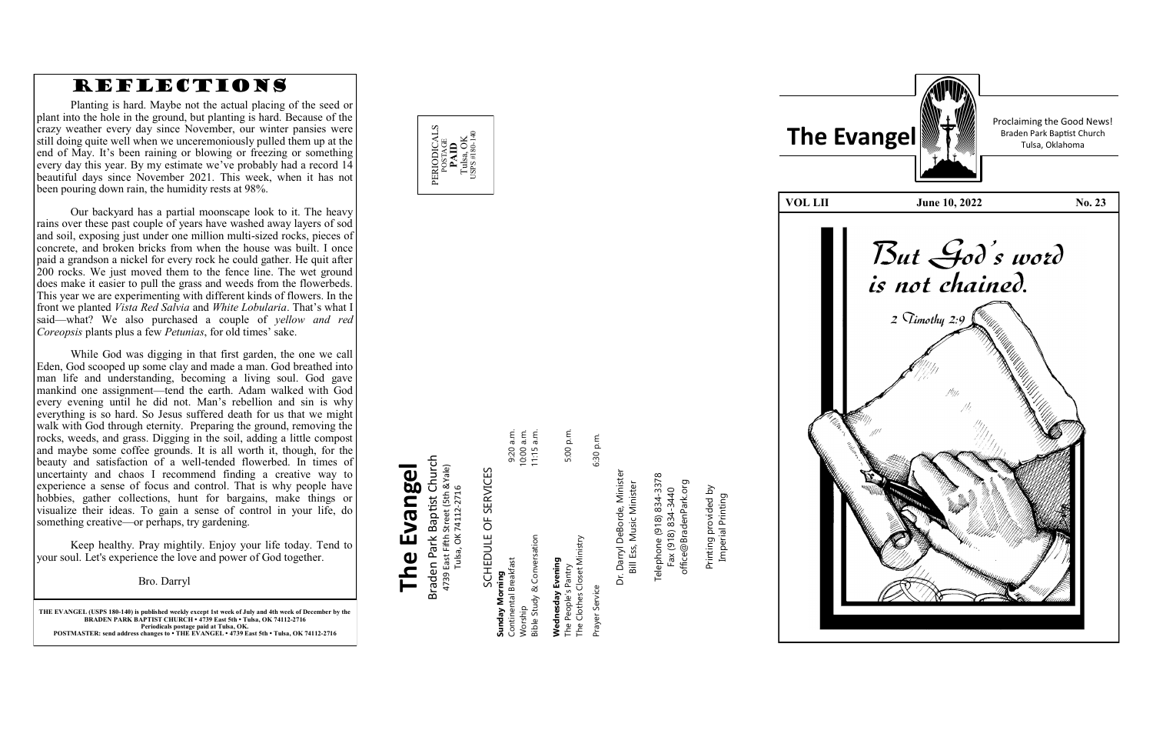**THE EVANGEL (USPS 180 -140) is published weekly except 1st week of July and 4th week of December by the BRADEN PARK BAPTIST CHURCH • 4739 East 5th • Tulsa, OK 74112 -2716 Periodicals postage paid at Tulsa, OK. POSTMASTER: send address changes to • THE EVANGEL • 4739 East 5th • Tulsa, OK 74112 -2716**

POSTAGE<br>**PAID**<br>Tulsa, OK<br>sps#180-14 USPS #180-140

Braden Park Baptist Church<br>4739 East Fifth Street (5th &Yale)<br>Tulsa, OK 74112-2716 Braden Park Baptist Church **The Evangel** 4739 East Fifth Street (5th &Yale) The Evangel Tulsa, OK 74112-2716

SCHEDULE OF SERVICES SCHEDULE OF SERVICES **Sunday Morning**

5:00 p.m. 9:20 a.m.<br>10:00 a.m.<br>11:15 a.m. Continental Breakfast 9:20 a.m. Worship 10:00 a.m. Bible Study & Conversation 11:15 a.m. The People's Pantry 5:00 p.m. **Wednesday Evening**<br>The People's Pantry<br>The Clothes Closet Ministry Bible Study & Conversation The Clothes Closet Ministry **sunday Morning**<br>Continental Breakfast **Wednesday Evening** orship

PERIODICALS

Prayer Service 6:30 p.m. Dr. Darryl DeBorde, Minister Dr. Darryl DeBorde, Minister<br>Bill Ess, Music Minister Bill Ess, Music Minister Prayer Service

6:30 p.m.

Telephone (918) 834-3378<br>Fax (918) 834-3440<br>office@BradenPark.org Telephone (918) 834-3378 office@BradenPark.org Fax (918) 834-3440

Printing provided by Printing provided by<br>Imperial Printing Imperial Printing

Proclaiming the Good News!

**VOL LII** June 10, 2022 No. 23 But God's word<br>is not chained.



# REFLECTIONS

Planting is hard. Maybe not the actual placing of the seed or plant into the hole in the ground, but planting is hard. Because of the crazy weather every day since November, our winter pansies were still doing quite well when we unceremoniously pulled them up at the end of May. It 's been raining or blowing or freezing or something every day this year. By my estimate we 've probably had a record 14 beautiful days since November 2021. This week, when it has not been pouring down rain, the humidity rests at 98%.

Our backyard has a partial moonscape look to it. The heavy rains over these past couple of years have washed away layers of sod and soil, exposing just under one million multi -sized rocks, pieces of concrete, and broken bricks from when the house was built. I once paid a grandson a nickel for every rock he could gather. He quit after 200 rocks. We just moved them to the fence line. The wet ground does make it easier to pull the grass and weeds from the flowerbeds. This year we are experimenting with different kinds of flowers. In the front we planted *Vista Red Salvia* and *White Lobularia*. That 's what I said—what? We also purchased a couple of *yellow and red Coreopsis* plants plus a few *Petunias*, for old times' sake.

While God was digging in that first garden, the one we call Eden, God scooped up some clay and made a man. God breathed into man life and understanding, becoming a living soul. God gave mankind one assignment—tend the earth. Adam walked with God every evening until he did not. Man 's rebellion and sin is why everything is so hard. So Jesus suffered death for us that we might walk with God through eternity. Preparing the ground, removing the rocks, weeds, and grass. Digging in the soil, adding a little compost and maybe some coffee grounds. It is all worth it, though, for the beauty and satisfaction of a well -tended flowerbed. In times of uncertainty and chaos I recommend finding a creative way to experience a sense of focus and control. That is why people have hobbies, gather collections, hunt for bargains, make things or visualize their ideas. To gain a sense of control in your life, do something creative —or perhaps, try gardening.

Keep healthy. Pray mightily. Enjoy your life today. Tend to your soul. Let's experience the love and power of God together.

Bro. Darryl